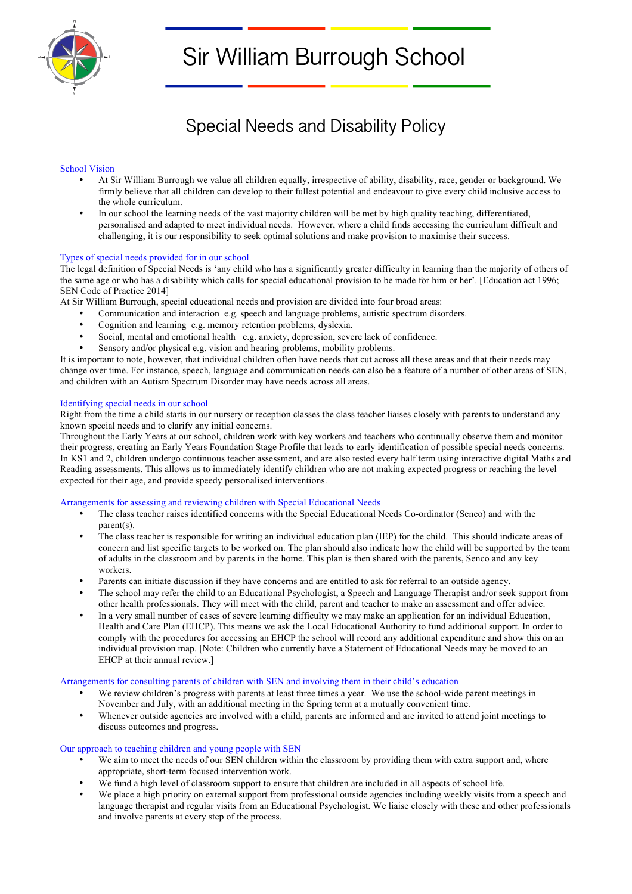

# Sir William Burrough School

# Special Needs and Disability Policy

# School Vision

- At Sir William Burrough we value all children equally, irrespective of ability, disability, race, gender or background. We firmly believe that all children can develop to their fullest potential and endeavour to give every child inclusive access to the whole curriculum.
- In our school the learning needs of the vast majority children will be met by high quality teaching, differentiated, personalised and adapted to meet individual needs. However, where a child finds accessing the curriculum difficult and challenging, it is our responsibility to seek optimal solutions and make provision to maximise their success.

## Types of special needs provided for in our school

The legal definition of Special Needs is 'any child who has a significantly greater difficulty in learning than the majority of others of the same age or who has a disability which calls for special educational provision to be made for him or her'. [Education act 1996; SEN Code of Practice 2014]

At Sir William Burrough, special educational needs and provision are divided into four broad areas:

- Communication and interaction e.g. speech and language problems, autistic spectrum disorders.
- Cognition and learning e.g. memory retention problems, dyslexia.
- Social, mental and emotional health e.g. anxiety, depression, severe lack of confidence.
- Sensory and/or physical e.g. vision and hearing problems, mobility problems.

It is important to note, however, that individual children often have needs that cut across all these areas and that their needs may change over time. For instance, speech, language and communication needs can also be a feature of a number of other areas of SEN, and children with an Autism Spectrum Disorder may have needs across all areas.

## Identifying special needs in our school

Right from the time a child starts in our nursery or reception classes the class teacher liaises closely with parents to understand any known special needs and to clarify any initial concerns.

Throughout the Early Years at our school, children work with key workers and teachers who continually observe them and monitor their progress, creating an Early Years Foundation Stage Profile that leads to early identification of possible special needs concerns. In KS1 and 2, children undergo continuous teacher assessment, and are also tested every half term using interactive digital Maths and Reading assessments. This allows us to immediately identify children who are not making expected progress or reaching the level expected for their age, and provide speedy personalised interventions.

#### Arrangements for assessing and reviewing children with Special Educational Needs

- The class teacher raises identified concerns with the Special Educational Needs Co-ordinator (Senco) and with the parent(s).
- The class teacher is responsible for writing an individual education plan (IEP) for the child. This should indicate areas of concern and list specific targets to be worked on. The plan should also indicate how the child will be supported by the team of adults in the classroom and by parents in the home. This plan is then shared with the parents, Senco and any key workers.
- Parents can initiate discussion if they have concerns and are entitled to ask for referral to an outside agency.
- The school may refer the child to an Educational Psychologist, a Speech and Language Therapist and/or seek support from other health professionals. They will meet with the child, parent and teacher to make an assessment and offer advice.
- In a very small number of cases of severe learning difficulty we may make an application for an individual Education, Health and Care Plan (EHCP). This means we ask the Local Educational Authority to fund additional support. In order to comply with the procedures for accessing an EHCP the school will record any additional expenditure and show this on an individual provision map. [Note: Children who currently have a Statement of Educational Needs may be moved to an EHCP at their annual review.]

#### Arrangements for consulting parents of children with SEN and involving them in their child's education

- We review children's progress with parents at least three times a year. We use the school-wide parent meetings in November and July, with an additional meeting in the Spring term at a mutually convenient time.
- Whenever outside agencies are involved with a child, parents are informed and are invited to attend joint meetings to discuss outcomes and progress.

#### Our approach to teaching children and young people with SEN

- We aim to meet the needs of our SEN children within the classroom by providing them with extra support and, where appropriate, short-term focused intervention work.
- We fund a high level of classroom support to ensure that children are included in all aspects of school life.
- We place a high priority on external support from professional outside agencies including weekly visits from a speech and language therapist and regular visits from an Educational Psychologist. We liaise closely with these and other professionals and involve parents at every step of the process.